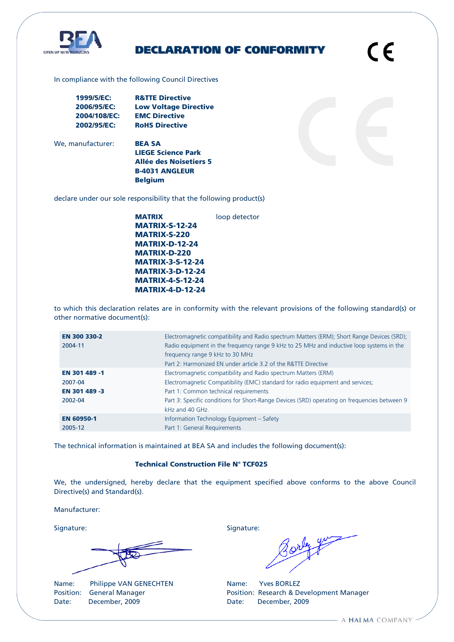

# DECLARATION OF CONFORMITY

C E

In compliance with the following Council Directives

| 1999/5/EC:   | <b>R&amp;TTE Directive</b>   |
|--------------|------------------------------|
| 2006/95/EC:  | <b>Low Voltage Directive</b> |
| 2004/108/EC: | <b>EMC Directive</b>         |
| 2002/95/EC:  | <b>RoHS Directive</b>        |

We, manufacturer: **BEA SA** 

LIEGE Science Park Allée des Noisetiers 5 B-4031 ANGLEUR Belgium

declare under our sole responsibility that the following product(s)

MATRIX loop detector MATRIX-S-12-24 MATRIX-S-220 MATRIX-D-12-24 MATRIX-D-220 MATRIX-3-S-12-24 MATRIX-3-D-12-24 MATRIX-4-S-12-24 MATRIX-4-D-12-24

to which this declaration relates are in conformity with the relevant provisions of the following standard(s) or other normative document(s):

| EN 300 330-2      | Electromagnetic compatibility and Radio spectrum Matters (ERM); Short Range Devices (SRD);   |
|-------------------|----------------------------------------------------------------------------------------------|
| 2004-11           | Radio equipment in the frequency range 9 kHz to 25 MHz and inductive loop systems in the     |
|                   | frequency range 9 kHz to 30 MHz                                                              |
|                   | Part 2: Harmonized EN under article 3.2 of the R&TTE Directive                               |
| EN 301 489 -1     | Electromagnetic compatibility and Radio spectrum Matters (ERM)                               |
| 2007-04           | Electromagnetic Compatibility (EMC) standard for radio equipment and services;               |
| EN 301 489 -3     | Part 1: Common technical requirements                                                        |
| 2002-04           | Part 3: Specific conditions for Short-Range Devices (SRD) operating on frequencies between 9 |
|                   | kHz and 40 GHz.                                                                              |
| <b>EN 60950-1</b> | Information Technology Equipment - Safety                                                    |
| 2005-12           | Part 1: General Requirements                                                                 |

The technical information is maintained at BEA SA and includes the following document(s):

## Technical Construction File N° TCF025

We, the undersigned, hereby declare that the equipment specified above conforms to the above Council Directive(s) and Standard(s).

Manufacturer:

Name: Philippe VAN GENECHTEN Name: Yves BORLEZ Date: December, 2009 Date: December, 2009

Signature: Signature: Signature: Signature: Signature: Signature: Signature: Signature: Signature: Signature: Signature: Signature: Signature: Signature: Signature: Signature: Signature: Signature: Signature: Signature: Si

Position: General Manager **Position: Research & Development Manager** Position: Research & Development Manager